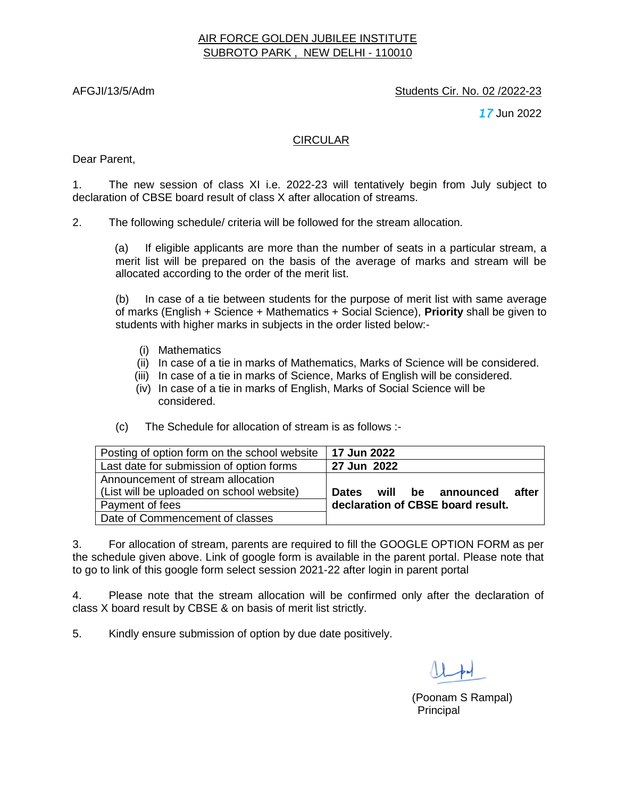## AIR FORCE GOLDEN JUBILEE INSTITUTE SUBROTO PARK , NEW DELHI - 110010

### AFGJI/13/5/Adm Students Cir. No. 02 /2022-23

*17* Jun 2022

#### CIRCULAR

Dear Parent,

1. The new session of class XI i.e. 2022-23 will tentatively begin from July subject to declaration of CBSE board result of class X after allocation of streams.

2. The following schedule/ criteria will be followed for the stream allocation.

(a) If eligible applicants are more than the number of seats in a particular stream, a merit list will be prepared on the basis of the average of marks and stream will be allocated according to the order of the merit list.

(b) In case of a tie between students for the purpose of merit list with same average of marks (English + Science + Mathematics + Social Science), **Priority** shall be given to students with higher marks in subjects in the order listed below:-

- (i) Mathematics
- (ii) In case of a tie in marks of Mathematics, Marks of Science will be considered.
- (iii) In case of a tie in marks of Science, Marks of English will be considered.
- (iv) In case of a tie in marks of English, Marks of Social Science will be considered.
- (c) The Schedule for allocation of stream is as follows :-

| Posting of option form on the school website | 17 Jun 2022                                |
|----------------------------------------------|--------------------------------------------|
| Last date for submission of option forms     | 27 Jun 2022                                |
| Announcement of stream allocation            |                                            |
| (List will be uploaded on school website)    | will be announced<br>after<br><b>Dates</b> |
| Payment of fees                              | declaration of CBSE board result.          |
| Date of Commencement of classes              |                                            |

3. For allocation of stream, parents are required to fill the GOOGLE OPTION FORM as per the schedule given above. Link of google form is available in the parent portal. Please note that to go to link of this google form select session 2021-22 after login in parent portal

4. Please note that the stream allocation will be confirmed only after the declaration of class X board result by CBSE & on basis of merit list strictly.

5. Kindly ensure submission of option by due date positively.

 (Poonam S Rampal) entration and the contract of the contract of the contract of the Principal Principal